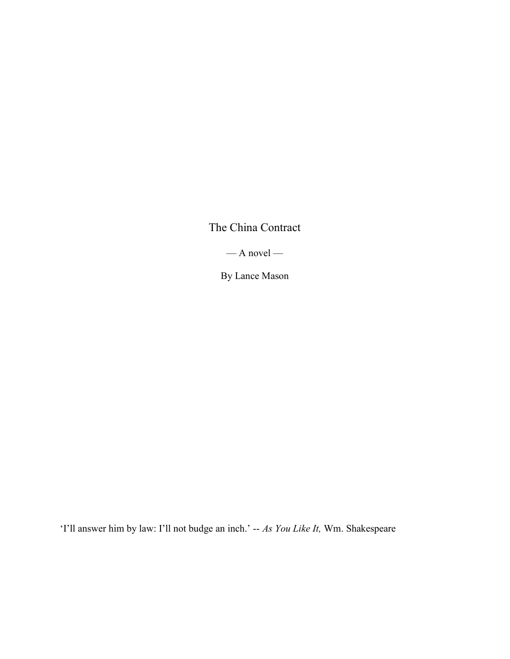The China Contract

 $-$  A novel  $-$ 

By Lance Mason

'I'll answer him by law: I'll not budge an inch.' -- As You Like It, Wm. Shakespeare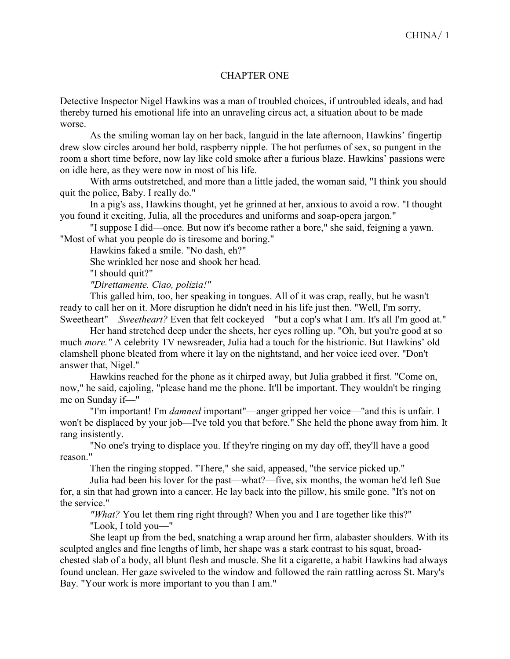## CHAPTER ONE

Detective Inspector Nigel Hawkins was a man of troubled choices, if untroubled ideals, and had thereby turned his emotional life into an unraveling circus act, a situation about to be made worse.

As the smiling woman lay on her back, languid in the late afternoon, Hawkins' fingertip drew slow circles around her bold, raspberry nipple. The hot perfumes of sex, so pungent in the room a short time before, now lay like cold smoke after a furious blaze. Hawkins' passions were on idle here, as they were now in most of his life.

With arms outstretched, and more than a little jaded, the woman said, "I think you should quit the police, Baby. I really do."

In a pig's ass, Hawkins thought, yet he grinned at her, anxious to avoid a row. "I thought you found it exciting, Julia, all the procedures and uniforms and soap-opera jargon."

"I suppose I did—once. But now it's become rather a bore," she said, feigning a yawn. "Most of what you people do is tiresome and boring."

Hawkins faked a smile. "No dash, eh?"

She wrinkled her nose and shook her head.

"I should quit?"

"Direttamente. Ciao, polizia!"

This galled him, too, her speaking in tongues. All of it was crap, really, but he wasn't ready to call her on it. More disruption he didn't need in his life just then. "Well, I'm sorry, Sweetheart"—Sweetheart? Even that felt cockeyed—"but a cop's what I am. It's all I'm good at."

Her hand stretched deep under the sheets, her eyes rolling up. "Oh, but you're good at so much more." A celebrity TV newsreader, Julia had a touch for the histrionic. But Hawkins' old clamshell phone bleated from where it lay on the nightstand, and her voice iced over. "Don't answer that, Nigel."

Hawkins reached for the phone as it chirped away, but Julia grabbed it first. "Come on, now," he said, cajoling, "please hand me the phone. It'll be important. They wouldn't be ringing me on Sunday if—"

"I'm important! I'm damned important"—anger gripped her voice—"and this is unfair. I won't be displaced by your job—I've told you that before." She held the phone away from him. It rang insistently.

"No one's trying to displace you. If they're ringing on my day off, they'll have a good reason."

Then the ringing stopped. "There," she said, appeased, "the service picked up."

Julia had been his lover for the past—what?—five, six months, the woman he'd left Sue for, a sin that had grown into a cancer. He lay back into the pillow, his smile gone. "It's not on the service."

"What? You let them ring right through? When you and I are together like this?"

"Look, I told you—"

She leapt up from the bed, snatching a wrap around her firm, alabaster shoulders. With its sculpted angles and fine lengths of limb, her shape was a stark contrast to his squat, broadchested slab of a body, all blunt flesh and muscle. She lit a cigarette, a habit Hawkins had always found unclean. Her gaze swiveled to the window and followed the rain rattling across St. Mary's Bay. "Your work is more important to you than I am."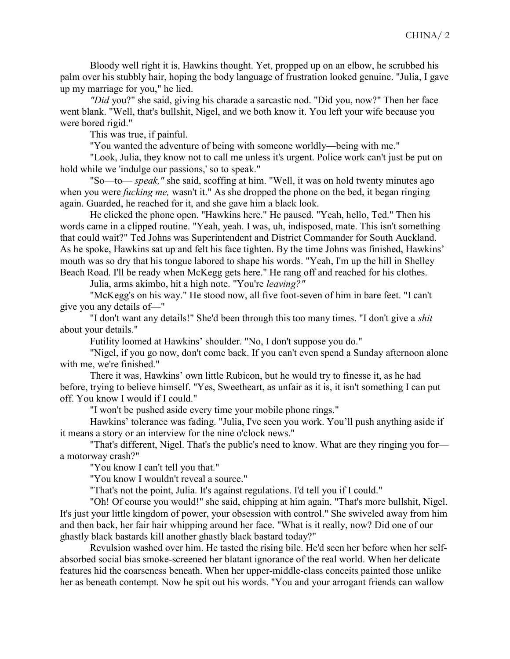Bloody well right it is, Hawkins thought. Yet, propped up on an elbow, he scrubbed his palm over his stubbly hair, hoping the body language of frustration looked genuine. "Julia, I gave up my marriage for you," he lied.

"Did you?" she said, giving his charade a sarcastic nod. "Did you, now?" Then her face went blank. "Well, that's bullshit, Nigel, and we both know it. You left your wife because you were bored rigid."

This was true, if painful.

"You wanted the adventure of being with someone worldly—being with me."

"Look, Julia, they know not to call me unless it's urgent. Police work can't just be put on hold while we 'indulge our passions,' so to speak."

"So—to— speak," she said, scoffing at him. "Well, it was on hold twenty minutes ago when you were *fucking me*, wasn't it." As she dropped the phone on the bed, it began ringing again. Guarded, he reached for it, and she gave him a black look.

He clicked the phone open. "Hawkins here." He paused. "Yeah, hello, Ted." Then his words came in a clipped routine. "Yeah, yeah. I was, uh, indisposed, mate. This isn't something that could wait?" Ted Johns was Superintendent and District Commander for South Auckland. As he spoke, Hawkins sat up and felt his face tighten. By the time Johns was finished, Hawkins' mouth was so dry that his tongue labored to shape his words. "Yeah, I'm up the hill in Shelley Beach Road. I'll be ready when McKegg gets here." He rang off and reached for his clothes.

Julia, arms akimbo, hit a high note. "You're leaving?"

"McKegg's on his way." He stood now, all five foot-seven of him in bare feet. "I can't give you any details of—"

"I don't want any details!" She'd been through this too many times. "I don't give a shit about your details."

Futility loomed at Hawkins' shoulder. "No, I don't suppose you do."

"Nigel, if you go now, don't come back. If you can't even spend a Sunday afternoon alone with me, we're finished."

There it was, Hawkins' own little Rubicon, but he would try to finesse it, as he had before, trying to believe himself. "Yes, Sweetheart, as unfair as it is, it isn't something I can put off. You know I would if I could."

"I won't be pushed aside every time your mobile phone rings."

Hawkins' tolerance was fading. "Julia, I've seen you work. You'll push anything aside if it means a story or an interview for the nine o'clock news."

"That's different, Nigel. That's the public's need to know. What are they ringing you for a motorway crash?"

"You know I can't tell you that."

"You know I wouldn't reveal a source."

"That's not the point, Julia. It's against regulations. I'd tell you if I could."

"Oh! Of course you would!" she said, chipping at him again. "That's more bullshit, Nigel. It's just your little kingdom of power, your obsession with control." She swiveled away from him and then back, her fair hair whipping around her face. "What is it really, now? Did one of our ghastly black bastards kill another ghastly black bastard today?"

Revulsion washed over him. He tasted the rising bile. He'd seen her before when her selfabsorbed social bias smoke-screened her blatant ignorance of the real world. When her delicate features hid the coarseness beneath. When her upper-middle-class conceits painted those unlike her as beneath contempt. Now he spit out his words. "You and your arrogant friends can wallow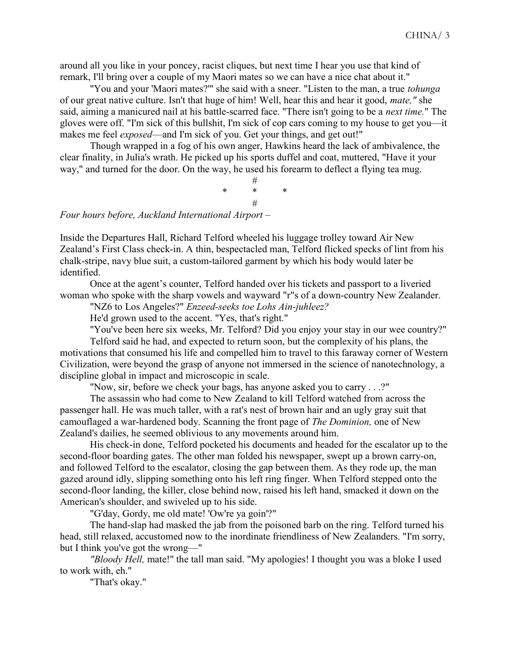around all you like in your poncey, racist cliques, but next time I hear you use that kind of remark, I'll bring over a couple of my Maori mates so we can have a nice chat about it."

"You and your 'Maori mates?"' she said with a sneer. "Listen to the man, a true *tohunga* of our great native culture. Isn't that huge of him! Well, hear this and hear it good, mate," she said, aiming a manicured nail at his battle-scarred face. "There isn't going to be a *next time*." The gloves were off. "I'm sick of this bullshit, I'm sick of cop cars coming to my house to get you—it makes me feel *exposed*—and I'm sick of you. Get your things, and get out!"

Though wrapped in a fog of his own anger, Hawkins heard the lack of ambivalence, the clear finality, in Julia's wrath. He picked up his sports duffel and coat, muttered, "Have it your way," and turned for the door. On the way, he used his forearm to deflect a flying tea mug.

# \* \* \* # Four hours before, Auckland International Airport –

Inside the Departures Hall, Richard Telford wheeled his luggage trolley toward Air New Zealand's First Class check-in. A thin, bespectacled man, Telford flicked specks of lint from his chalk-stripe, navy blue suit, a custom-tailored garment by which his body would later be identified.

Once at the agent's counter, Telford handed over his tickets and passport to a liveried woman who spoke with the sharp vowels and wayward "r"s of a down-country New Zealander.

"NZ6 to Los Angeles?" Enzeed-seeks toe Lohs Ain-juhleez?

He'd grown used to the accent. "Yes, that's right."

"You've been here six weeks, Mr. Telford? Did you enjoy your stay in our wee country?"

Telford said he had, and expected to return soon, but the complexity of his plans, the motivations that consumed his life and compelled him to travel to this faraway corner of Western Civilization, were beyond the grasp of anyone not immersed in the science of nanotechnology, a discipline global in impact and microscopic in scale.

"Now, sir, before we check your bags, has anyone asked you to carry . . .?"

The assassin who had come to New Zealand to kill Telford watched from across the passenger hall. He was much taller, with a rat's nest of brown hair and an ugly gray suit that camouflaged a war-hardened body. Scanning the front page of The Dominion, one of New Zealand's dailies, he seemed oblivious to any movements around him.

His check-in done, Telford pocketed his documents and headed for the escalator up to the second-floor boarding gates. The other man folded his newspaper, swept up a brown carry-on, and followed Telford to the escalator, closing the gap between them. As they rode up, the man gazed around idly, slipping something onto his left ring finger. When Telford stepped onto the second-floor landing, the killer, close behind now, raised his left hand, smacked it down on the American's shoulder, and swiveled up to his side.

"G'day, Gordy, me old mate! 'Ow're ya goin'?"

The hand-slap had masked the jab from the poisoned barb on the ring. Telford turned his head, still relaxed, accustomed now to the inordinate friendliness of New Zealanders. "I'm sorry, but I think you've got the wrong—"

"Bloody Hell, mate!" the tall man said. "My apologies! I thought you was a bloke I used to work with, eh."

"That's okay."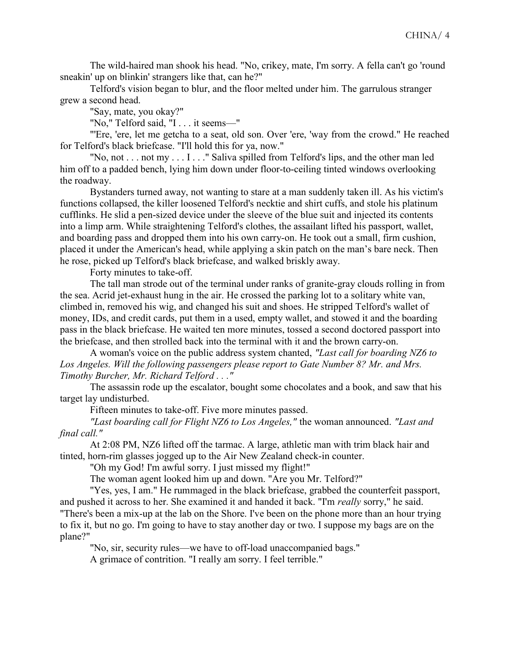The wild-haired man shook his head. "No, crikey, mate, I'm sorry. A fella can't go 'round sneakin' up on blinkin' strangers like that, can he?"

Telford's vision began to blur, and the floor melted under him. The garrulous stranger grew a second head.

"Say, mate, you okay?"

"No," Telford said, "I . . . it seems—"

"'Ere, 'ere, let me getcha to a seat, old son. Over 'ere, 'way from the crowd." He reached for Telford's black briefcase. "I'll hold this for ya, now."

"No, not . . . not my . . . I . . ." Saliva spilled from Telford's lips, and the other man led him off to a padded bench, lying him down under floor-to-ceiling tinted windows overlooking the roadway.

Bystanders turned away, not wanting to stare at a man suddenly taken ill. As his victim's functions collapsed, the killer loosened Telford's necktie and shirt cuffs, and stole his platinum cufflinks. He slid a pen-sized device under the sleeve of the blue suit and injected its contents into a limp arm. While straightening Telford's clothes, the assailant lifted his passport, wallet, and boarding pass and dropped them into his own carry-on. He took out a small, firm cushion, placed it under the American's head, while applying a skin patch on the man's bare neck. Then he rose, picked up Telford's black briefcase, and walked briskly away.

Forty minutes to take-off.

The tall man strode out of the terminal under ranks of granite-gray clouds rolling in from the sea. Acrid jet-exhaust hung in the air. He crossed the parking lot to a solitary white van, climbed in, removed his wig, and changed his suit and shoes. He stripped Telford's wallet of money, IDs, and credit cards, put them in a used, empty wallet, and stowed it and the boarding pass in the black briefcase. He waited ten more minutes, tossed a second doctored passport into the briefcase, and then strolled back into the terminal with it and the brown carry-on.

A woman's voice on the public address system chanted, "Last call for boarding NZ6 to Los Angeles. Will the following passengers please report to Gate Number 8? Mr. and Mrs. Timothy Burcher, Mr. Richard Telford . . ."

The assassin rode up the escalator, bought some chocolates and a book, and saw that his target lay undisturbed.

Fifteen minutes to take-off. Five more minutes passed.

"Last boarding call for Flight NZ6 to Los Angeles," the woman announced. "Last and final call."

At 2:08 PM, NZ6 lifted off the tarmac. A large, athletic man with trim black hair and tinted, horn-rim glasses jogged up to the Air New Zealand check-in counter.

"Oh my God! I'm awful sorry. I just missed my flight!"

The woman agent looked him up and down. "Are you Mr. Telford?"

"Yes, yes, I am." He rummaged in the black briefcase, grabbed the counterfeit passport, and pushed it across to her. She examined it and handed it back. "I'm really sorry," he said. "There's been a mix-up at the lab on the Shore. I've been on the phone more than an hour trying to fix it, but no go. I'm going to have to stay another day or two. I suppose my bags are on the plane?"

"No, sir, security rules—we have to off-load unaccompanied bags."

A grimace of contrition. "I really am sorry. I feel terrible."